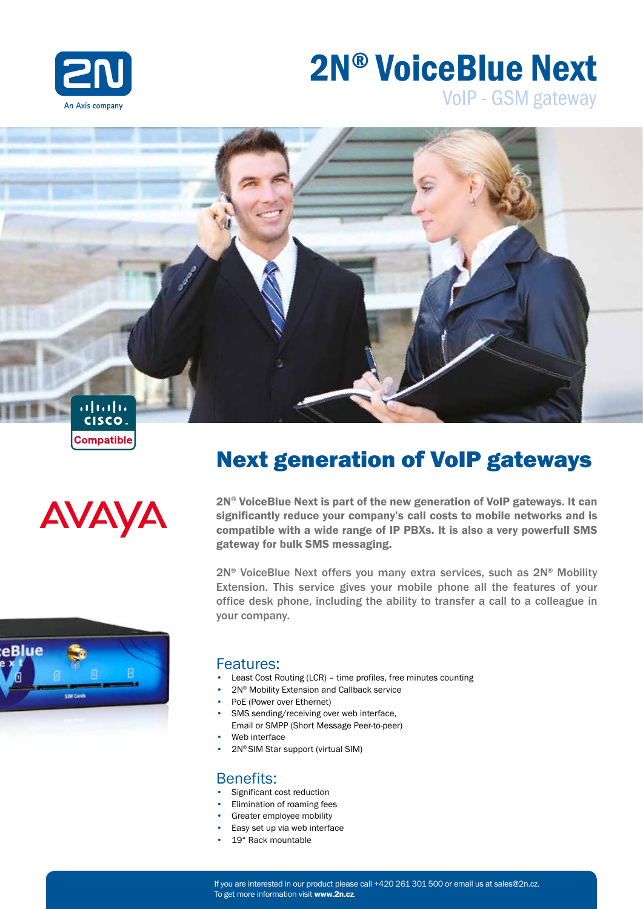

# 2N® VoiceBlue Next

VoIP - GSM gateway





# Next generation of VoIP gateways

2N® VoiceBlue Next is part of the new generation of VoIP gateways. It can significantly reduce your company's call costs to mobile networks and is compatible with a wide range of IP PBXs. It is also a very powerfull SMS gateway for bulk SMS messaging.

2N® VoiceBlue Next offers you many extra services, such as 2N® Mobility Extension. This service gives your mobile phone all the features of your office desk phone, including the ability to transfer a call to a colleague in your company.



#### Features:

- Least Cost Routing (LCR) time profiles, free minutes counting
	- 2N® Mobility Extension and Callback service
	- PoE (Power over Ethernet)
	- SMS sending/receiving over web interface. Email or SMPP (Short Message Peer-to-peer)
	- Web interface
	- 2N® SIM Star support (virtual SIM)

#### Benefits:

- Significant cost reduction
- Elimination of roaming fees
- Greater employee mobility
- Easy set up via web interface
- 19" Rack mountable